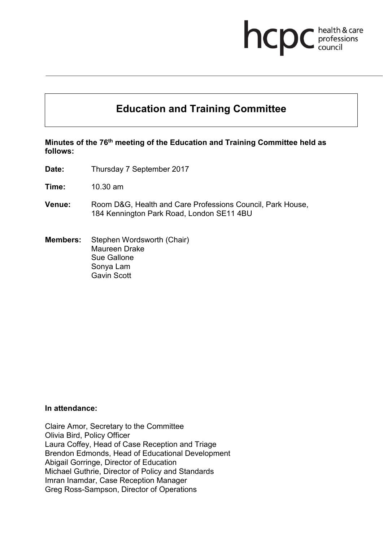# **Education and Training Committee**

health & care<br>professions<br>council

hcpc

#### **Minutes of the 76th meeting of the Education and Training Committee held as follows:**

**Date:** Thursday 7 September 2017

**Time:** 10.30 am

- **Venue:** Room D&G, Health and Care Professions Council, Park House, 184 Kennington Park Road, London SE11 4BU
- **Members:** Stephen Wordsworth (Chair) Maureen Drake Sue Gallone Sonya Lam Gavin Scott

#### **In attendance:**

Claire Amor, Secretary to the Committee Olivia Bird, Policy Officer Laura Coffey, Head of Case Reception and Triage Brendon Edmonds, Head of Educational Development Abigail Gorringe, Director of Education Michael Guthrie, Director of Policy and Standards Imran Inamdar, Case Reception Manager Greg Ross-Sampson, Director of Operations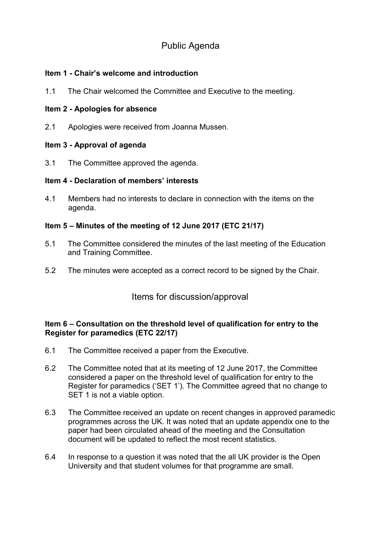# Public Agenda

## **Item 1 - Chair's welcome and introduction**

1.1 The Chair welcomed the Committee and Executive to the meeting.

# **Item 2 - Apologies for absence**

2.1 Apologies were received from Joanna Mussen.

# **Item 3 - Approval of agenda**

3.1 The Committee approved the agenda.

# **Item 4 - Declaration of members' interests**

4.1 Members had no interests to declare in connection with the items on the agenda.

# **Item 5 – Minutes of the meeting of 12 June 2017 (ETC 21/17)**

- 5.1 The Committee considered the minutes of the last meeting of the Education and Training Committee.
- 5.2 The minutes were accepted as a correct record to be signed by the Chair.

# Items for discussion/approval

## **Item 6 – Consultation on the threshold level of qualification for entry to the Register for paramedics (ETC 22/17)**

- 6.1 The Committee received a paper from the Executive.
- 6.2 The Committee noted that at its meeting of 12 June 2017, the Committee considered a paper on the threshold level of qualification for entry to the Register for paramedics ('SET 1'). The Committee agreed that no change to SET 1 is not a viable option.
- 6.3 The Committee received an update on recent changes in approved paramedic programmes across the UK. It was noted that an update appendix one to the paper had been circulated ahead of the meeting and the Consultation document will be updated to reflect the most recent statistics.
- 6.4 In response to a question it was noted that the all UK provider is the Open University and that student volumes for that programme are small.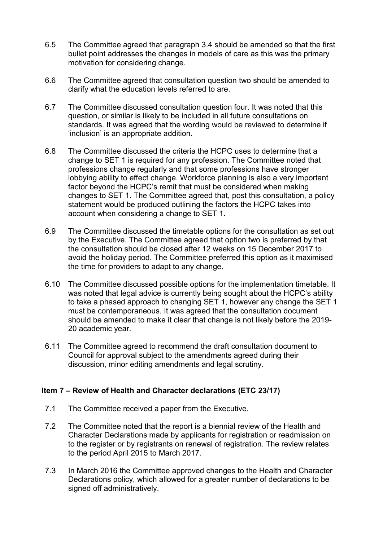- 6.5 The Committee agreed that paragraph 3.4 should be amended so that the first bullet point addresses the changes in models of care as this was the primary motivation for considering change.
- 6.6 The Committee agreed that consultation question two should be amended to clarify what the education levels referred to are.
- 6.7 The Committee discussed consultation question four. It was noted that this question, or similar is likely to be included in all future consultations on standards. It was agreed that the wording would be reviewed to determine if 'inclusion' is an appropriate addition.
- 6.8 The Committee discussed the criteria the HCPC uses to determine that a change to SET 1 is required for any profession. The Committee noted that professions change regularly and that some professions have stronger lobbying ability to effect change. Workforce planning is also a very important factor beyond the HCPC's remit that must be considered when making changes to SET 1. The Committee agreed that, post this consultation, a policy statement would be produced outlining the factors the HCPC takes into account when considering a change to SET 1.
- 6.9 The Committee discussed the timetable options for the consultation as set out by the Executive. The Committee agreed that option two is preferred by that the consultation should be closed after 12 weeks on 15 December 2017 to avoid the holiday period. The Committee preferred this option as it maximised the time for providers to adapt to any change.
- 6.10 The Committee discussed possible options for the implementation timetable. It was noted that legal advice is currently being sought about the HCPC's ability to take a phased approach to changing SET 1, however any change the SET 1 must be contemporaneous. It was agreed that the consultation document should be amended to make it clear that change is not likely before the 2019- 20 academic year.
- 6.11 The Committee agreed to recommend the draft consultation document to Council for approval subject to the amendments agreed during their discussion, minor editing amendments and legal scrutiny.

## **Item 7 – Review of Health and Character declarations (ETC 23/17)**

- 7.1 The Committee received a paper from the Executive.
- 7.2 The Committee noted that the report is a biennial review of the Health and Character Declarations made by applicants for registration or readmission on to the register or by registrants on renewal of registration. The review relates to the period April 2015 to March 2017.
- 7.3 In March 2016 the Committee approved changes to the Health and Character Declarations policy, which allowed for a greater number of declarations to be signed off administratively.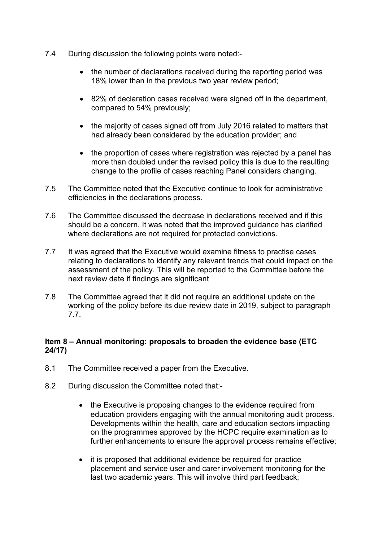- 7.4 During discussion the following points were noted:-
	- the number of declarations received during the reporting period was 18% lower than in the previous two year review period;
	- 82% of declaration cases received were signed off in the department, compared to 54% previously;
	- the majority of cases signed off from July 2016 related to matters that had already been considered by the education provider; and
	- the proportion of cases where registration was rejected by a panel has more than doubled under the revised policy this is due to the resulting change to the profile of cases reaching Panel considers changing.
- 7.5 The Committee noted that the Executive continue to look for administrative efficiencies in the declarations process.
- 7.6 The Committee discussed the decrease in declarations received and if this should be a concern. It was noted that the improved guidance has clarified where declarations are not required for protected convictions.
- 7.7 It was agreed that the Executive would examine fitness to practise cases relating to declarations to identify any relevant trends that could impact on the assessment of the policy. This will be reported to the Committee before the next review date if findings are significant
- 7.8 The Committee agreed that it did not require an additional update on the working of the policy before its due review date in 2019, subject to paragraph 7.7.

## **Item 8 – Annual monitoring: proposals to broaden the evidence base (ETC 24/17)**

- 8.1 The Committee received a paper from the Executive.
- 8.2 During discussion the Committee noted that:-
	- the Executive is proposing changes to the evidence required from education providers engaging with the annual monitoring audit process. Developments within the health, care and education sectors impacting on the programmes approved by the HCPC require examination as to further enhancements to ensure the approval process remains effective;
	- it is proposed that additional evidence be required for practice placement and service user and carer involvement monitoring for the last two academic years. This will involve third part feedback;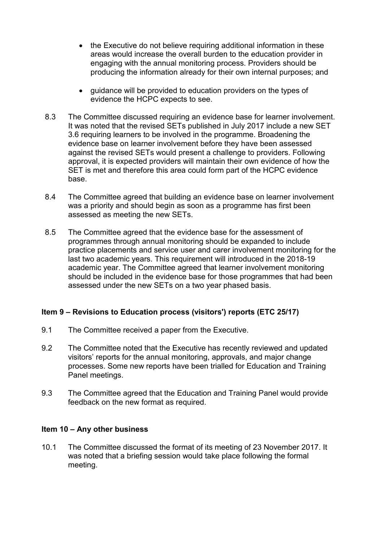- the Executive do not believe requiring additional information in these areas would increase the overall burden to the education provider in engaging with the annual monitoring process. Providers should be producing the information already for their own internal purposes; and
- guidance will be provided to education providers on the types of evidence the HCPC expects to see.
- 8.3 The Committee discussed requiring an evidence base for learner involvement. It was noted that the revised SETs published in July 2017 include a new SET 3.6 requiring learners to be involved in the programme. Broadening the evidence base on learner involvement before they have been assessed against the revised SETs would present a challenge to providers. Following approval, it is expected providers will maintain their own evidence of how the SET is met and therefore this area could form part of the HCPC evidence base.
- 8.4 The Committee agreed that building an evidence base on learner involvement was a priority and should begin as soon as a programme has first been assessed as meeting the new SETs.
- 8.5 The Committee agreed that the evidence base for the assessment of programmes through annual monitoring should be expanded to include practice placements and service user and carer involvement monitoring for the last two academic years. This requirement will introduced in the 2018-19 academic year. The Committee agreed that learner involvement monitoring should be included in the evidence base for those programmes that had been assessed under the new SETs on a two year phased basis.

## **Item 9 – Revisions to Education process (visitors') reports (ETC 25/17)**

- 9.1 The Committee received a paper from the Executive.
- 9.2 The Committee noted that the Executive has recently reviewed and updated visitors' reports for the annual monitoring, approvals, and major change processes. Some new reports have been trialled for Education and Training Panel meetings.
- 9.3 The Committee agreed that the Education and Training Panel would provide feedback on the new format as required.

#### **Item 10 – Any other business**

10.1 The Committee discussed the format of its meeting of 23 November 2017. It was noted that a briefing session would take place following the formal meeting.